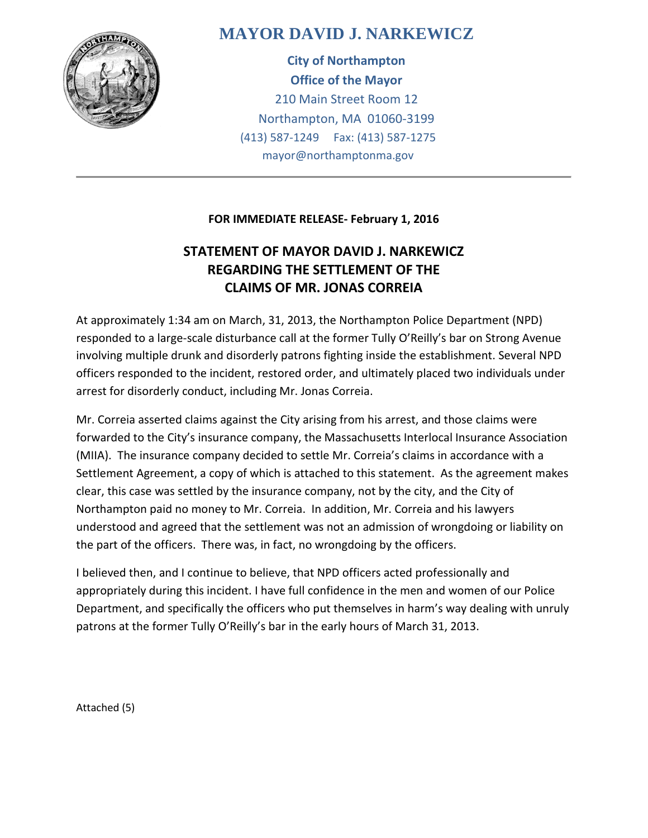

# **MAYOR DAVID J. NARKEWICZ**

**City of Northampton Office of the Mayor** 210 Main Street Room 12 Northampton, MA 01060-3199 (413) 587-1249 Fax: (413) 587-1275 mayor@northamptonma.gov

### **FOR IMMEDIATE RELEASE- February 1, 2016**

## **STATEMENT OF MAYOR DAVID J. NARKEWICZ REGARDING THE SETTLEMENT OF THE CLAIMS OF MR. JONAS CORREIA**

At approximately 1:34 am on March, 31, 2013, the Northampton Police Department (NPD) responded to a large-scale disturbance call at the former Tully O'Reilly's bar on Strong Avenue involving multiple drunk and disorderly patrons fighting inside the establishment. Several NPD officers responded to the incident, restored order, and ultimately placed two individuals under arrest for disorderly conduct, including Mr. Jonas Correia.

Mr. Correia asserted claims against the City arising from his arrest, and those claims were forwarded to the City's insurance company, the Massachusetts Interlocal Insurance Association (MIIA). The insurance company decided to settle Mr. Correia's claims in accordance with a Settlement Agreement, a copy of which is attached to this statement. As the agreement makes clear, this case was settled by the insurance company, not by the city, and the City of Northampton paid no money to Mr. Correia. In addition, Mr. Correia and his lawyers understood and agreed that the settlement was not an admission of wrongdoing or liability on the part of the officers. There was, in fact, no wrongdoing by the officers.

I believed then, and I continue to believe, that NPD officers acted professionally and appropriately during this incident. I have full confidence in the men and women of our Police Department, and specifically the officers who put themselves in harm's way dealing with unruly patrons at the former Tully O'Reilly's bar in the early hours of March 31, 2013.

Attached (5)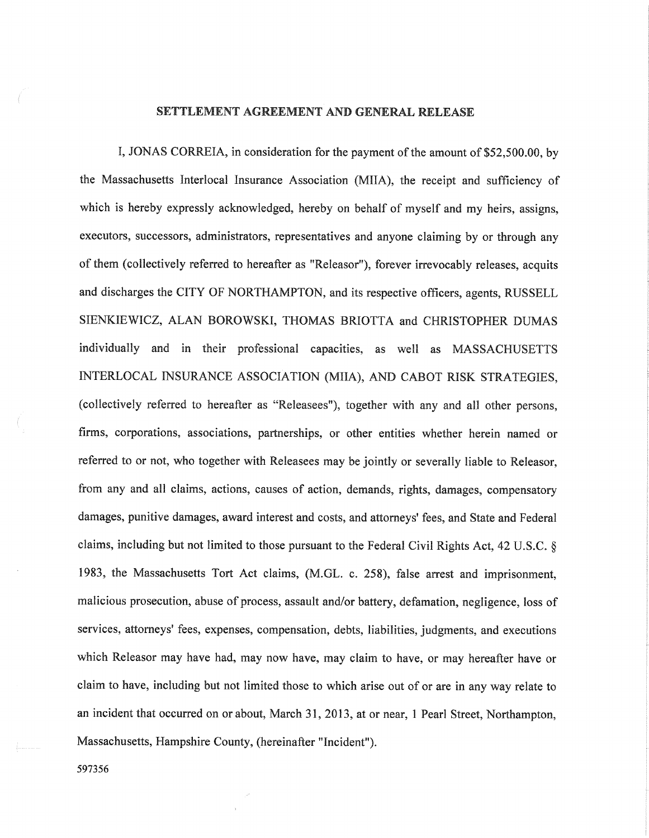#### SETTLEMENT AGREEMENT AND GENERAL RELEASE

I, JONAS CORREIA, in consideration for the payment of the amount of \$52,500.00, by the Massachusetts Interlocal Insurance Association (MIIA), the receipt and sufficiency of which is hereby expressly acknowledged, hereby on behalf of myself and my heirs, assigns, executors, successors, administrators, representatives and anyone claiming by or through any of them (collectively referred to hereafter as "Releasor"), forever irrevocably releases, acquits and discharges the CITY OF NORTHAMPTON, and its respective officers, agents, RUSSELL SIENKIEWICZ, ALAN BOROWSKI, THOMAS BRIOTTA and CHRISTOPHER DUMAS individually and in their professional capacities, as well as MASSACHUSETTS INTERLOCAL INSURANCE ASSOCIATION (MIIA), AND CABOT RISK STRATEGIES. (collectively referred to hereafter as "Releasees"), together with any and all other persons, firms, corporations, associations, partnerships, or other entities whether herein named or referred to or not, who together with Releasees may be jointly or severally liable to Releasor, from any and all claims, actions, causes of action, demands, rights, damages, compensatory damages, punitive damages, award interest and costs, and attorneys' fees, and State and Federal claims, including but not limited to those pursuant to the Federal Civil Rights Act, 42 U.S.C. § 1983, the Massachusetts Tort Act claims, (M.GL. c. 258), false arrest and imprisonment, malicious prosecution, abuse of process, assault and/or battery, defamation, negligence, loss of services, attorneys' fees, expenses, compensation, debts, liabilities, judgments, and executions which Releasor may have had, may now have, may claim to have, or may hereafter have or claim to have, including but not limited those to which arise out of or are in any way relate to an incident that occurred on or about, March 31, 2013, at or near, 1 Pearl Street, Northampton, Massachusetts, Hampshire County, (hereinafter "Incident").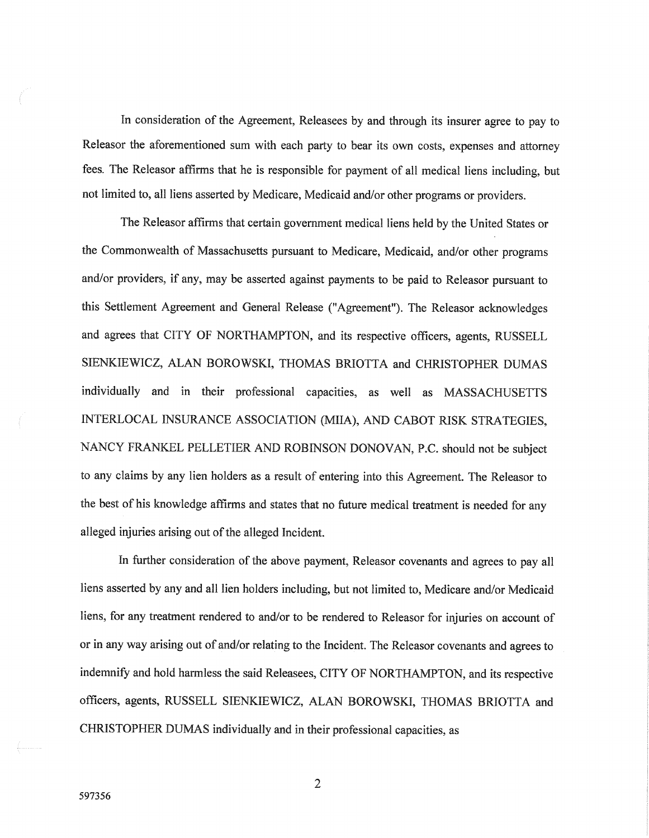In consideration of the Agreement, Releasees by and through its insurer agree to pay to Releasor the aforementioned sum with each party to bear its own costs, expenses and attorney fees. The Releasor affirms that he is responsible for payment of all medical liens including, but not limited to, all liens asserted by Medicare, Medicaid and/or other programs or providers.

The Releasor affirms that certain government medical liens held by the United States or the Commonwealth of Massachusetts pursuant to Medicare, Medicaid, and/or other programs and/or providers, if any, may be asserted against payments to be paid to Releasor pursuant to this Settlement Agreement and General Release ("Agreement"). The Releasor acknowledges and agrees that CITY OF NORTHAMPTON, and its respective officers, agents, RUSSELL SIENKIEWICZ, ALAN BOROWSKI, THOMAS BRIOTTA and CHRISTOPHER DUMAS individually and in their professional capacities, as well as MASSACHUSETTS INTERLOCAL INSURANCE ASSOCIATION (MIIA), AND CABOT RISK STRATEGIES, NANCY FRANKEL PELLETIER AND ROBINSON DONOVAN, P.C. should not be subject to any claims by any lien holders as a result of entering into this Agreement. The Releasor to the best of his knowledge affirms and states that no future medical treatment is needed for any alleged injuries arising out of the alleged Incident.

In further consideration of the above payment, Releasor covenants and agrees to pay all liens asserted by any and all lien holders including, but not limited to, Medicare and/or Medicaid liens, for any treatment rendered to and/or to be rendered to Releasor for injuries on account of or in any way arising out of and/or relating to the Incident. The Releasor covenants and agrees to indemnify and hold harmless the said Releasees, CITY OF NORTHAMPTON, and its respective officers, agents, RUSSELL SIENKIEWICZ, ALAN BOROWSKI, THOMAS BRIOTTA and CHRISTOPHER DUMAS individually and in their professional capacities, as

 $\overline{2}$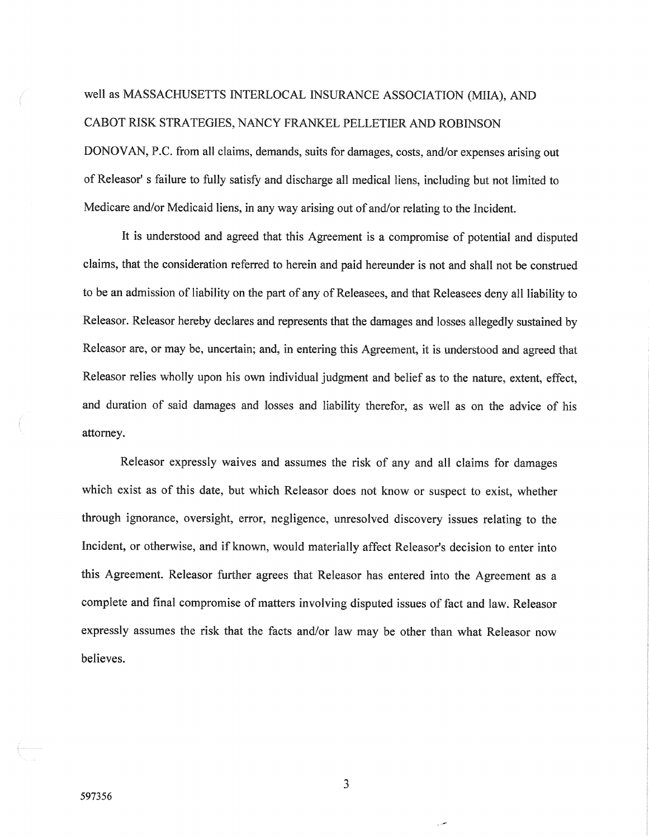# well as MASSACHUSETTS INTERLOCAL INSURANCE ASSOCIATION (MIIA), AND CABOT RISK STRATEGIES, NANCY FRANKEL PELLETIER AND ROBINSON

DONOVAN, P.C. from all claims, demands, suits for damages, costs, and/or expenses arising out of Releasor' s failure to fully satisfy and discharge all medical liens, including but not limited to Medicare and/or Medicaid liens, in any way arising out of and/or relating to the Incident.

It is understood and agreed that this Agreement is a compromise of potential and disputed claims, that the consideration referred to herein and paid hereunder is not and shall not be construed to be an admission of liability on the part of any of Releasees, and that Releasees deny all liability to Releasor. Releasor hereby declares and represents that the damages and losses allegedly sustained by Releasor are, or may be, uncertain; and, in entering this Agreement, it is understood and agreed that Releasor relies wholly upon his own individual judgment and belief as to the nature, extent, effect, and duration of said damages and losses and liability therefor, as well as on the advice of his attorney.

Releasor expressly waives and assumes the risk of any and all claims for damages which exist as of this date, but which Releasor does not know or suspect to exist, whether through ignorance, oversight, error, negligence, unresolved discovery issues relating to the Incident, or otherwise, and if known, would materially affect Releasor's decision to enter into this Agreement. Releasor further agrees that Releasor has entered into the Agreement as a complete and final compromise of matters involving disputed issues of fact and law. Releasor expressly assumes the risk that the facts and/or law may be other than what Releasor now believes.

3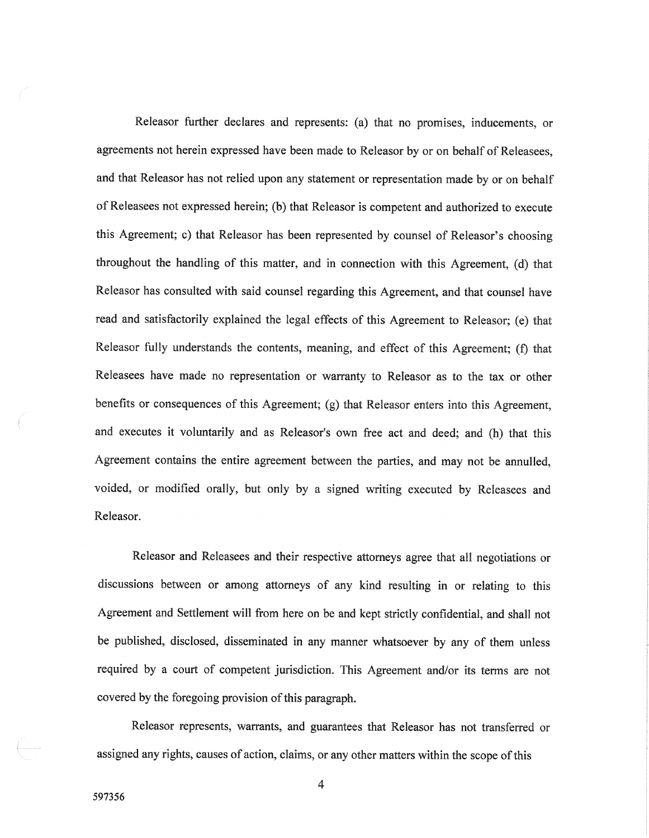Releasor further declares and represents: (a) that no promises, inducements, or agreements not herein expressed have been made to Releasor by or on behalf of Releasees, and that Releasor has not relied upon any statement or representation made by or on behalf of Releasees not expressed herein; (b) that Releasor is competent and authorized to execute this Agreement; c) that Releasor has been represented by counsel of Releasor's choosing throughout the handling of this matter, and in connection with this Agreement, (d) that Releasor has consulted with said counsel regarding this Agreement, and that counsel have read and satisfactorily explained the legal effects of this Agreement to Releasor; (e) that Releasor fully understands the contents, meaning, and effect of this Agreement; (f) that Releasees have made no representation or warranty to Releasor as to the tax or other benefits or consequences of this Agreement; (g) that Releasor enters into this Agreement, and executes it voluntarily and as Releasor's own free act and deed; and (h) that this Agreement contains the entire agreement between the parties, and may not be annulled, voided, or modified orally, but only by a signed writing executed by Releasees and Releasor.

Releasor and Releasees and their respective attorneys agree that all negotiations or discussions between or among attorneys of any kind resulting in or relating to this Agreement and Settlement will from here on be and kept strictly confidential, and shall not be published, disclosed, disseminated in any manner whatsoever by any of them unless required by a court of competent jurisdiction. This Agreement and/or its terms are not covered by the foregoing provision of this paragraph.

Releasor represents, warrants, and guarantees that Releasor has not transferred or assigned any rights, causes of action, claims, or any other matters within the scope of this

4